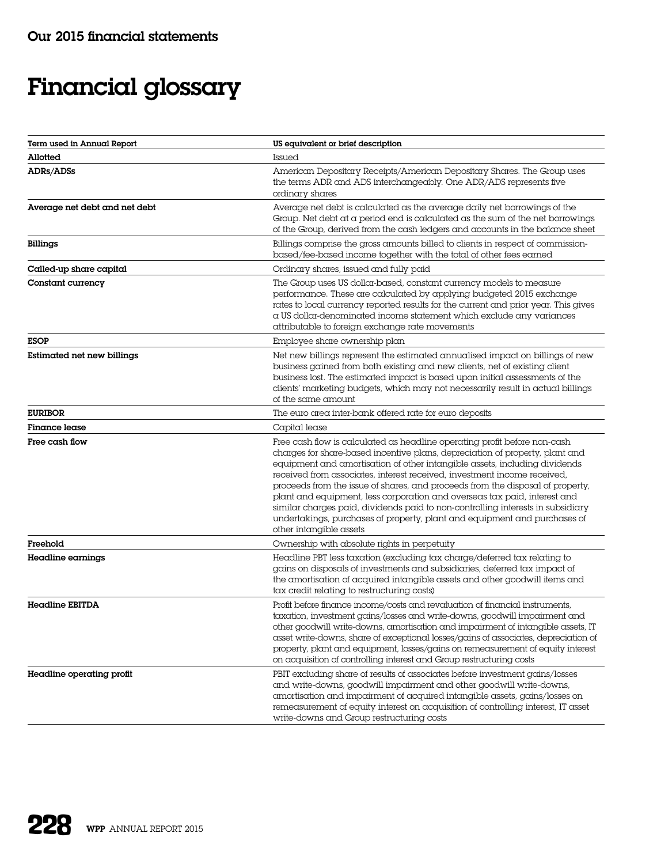## Financial glossary

| Term used in Annual Report    | US equivalent or brief description                                                                                                                                                                                                                                                                                                                                                                                                                                                                                                                                                                                                                                            |
|-------------------------------|-------------------------------------------------------------------------------------------------------------------------------------------------------------------------------------------------------------------------------------------------------------------------------------------------------------------------------------------------------------------------------------------------------------------------------------------------------------------------------------------------------------------------------------------------------------------------------------------------------------------------------------------------------------------------------|
| Allotted                      | Issued                                                                                                                                                                                                                                                                                                                                                                                                                                                                                                                                                                                                                                                                        |
| ADRs/ADSs                     | American Depositary Receipts/American Depositary Shares. The Group uses<br>the terms ADR and ADS interchangeably. One ADR/ADS represents five<br>ordinary shares                                                                                                                                                                                                                                                                                                                                                                                                                                                                                                              |
| Average net debt and net debt | Average net debt is calculated as the average daily net borrowings of the<br>Group. Net debt at a period end is calculated as the sum of the net borrowings<br>of the Group, derived from the cash ledgers and accounts in the balance sheet                                                                                                                                                                                                                                                                                                                                                                                                                                  |
| <b>Billings</b>               | Billings comprise the gross amounts billed to clients in respect of commission-<br>based/fee-based income together with the total of other fees earned                                                                                                                                                                                                                                                                                                                                                                                                                                                                                                                        |
| Called-up share capital       | Ordinary shares, issued and fully paid                                                                                                                                                                                                                                                                                                                                                                                                                                                                                                                                                                                                                                        |
| Constant currency             | The Group uses US dollar-based, constant currency models to measure<br>performance. These are calculated by applying budgeted 2015 exchange<br>rates to local currency reported results for the current and prior year. This gives<br>a US dollar-denominated income statement which exclude any variances<br>attributable to foreign exchange rate movements                                                                                                                                                                                                                                                                                                                 |
| <b>ESOP</b>                   | Employee share ownership plan                                                                                                                                                                                                                                                                                                                                                                                                                                                                                                                                                                                                                                                 |
| Estimated net new billings    | Net new billings represent the estimated annualised impact on billings of new<br>business gained from both existing and new clients, net of existing client<br>business lost. The estimated impact is based upon initial assessments of the<br>clients' marketing budgets, which may not necessarily result in actual billings<br>of the same amount                                                                                                                                                                                                                                                                                                                          |
| <b>EURIBOR</b>                | The euro area inter-bank offered rate for euro deposits                                                                                                                                                                                                                                                                                                                                                                                                                                                                                                                                                                                                                       |
| <b>Finance lease</b>          | Capital lease                                                                                                                                                                                                                                                                                                                                                                                                                                                                                                                                                                                                                                                                 |
| Free cash flow                | Free cash flow is calculated as headline operating profit before non-cash<br>charges for share-based incentive plans, depreciation of property, plant and<br>equipment and amortisation of other intangible assets, including dividends<br>received from associates, interest received, investment income received,<br>proceeds from the issue of shares, and proceeds from the disposal of property,<br>plant and equipment, less corporation and overseas tax paid, interest and<br>similar charges paid, dividends paid to non-controlling interests in subsidiary<br>undertakings, purchases of property, plant and equipment and purchases of<br>other intangible assets |
| Freehold                      | Ownership with absolute rights in perpetuity                                                                                                                                                                                                                                                                                                                                                                                                                                                                                                                                                                                                                                  |
| Headline earnings             | Headline PBT less taxation (excluding tax charge/deferred tax relating to<br>gains on disposals of investments and subsidiaries, deferred tax impact of<br>the amortisation of acquired intangible assets and other goodwill items and<br>tax credit relating to restructuring costs)                                                                                                                                                                                                                                                                                                                                                                                         |
| Headline EBITDA               | Profit before finance income/costs and revaluation of financial instruments,<br>taxation, investment gains/losses and write-downs, goodwill impairment and<br>other goodwill write-downs, amortisation and impairment of intangible assets, IT<br>asset write-downs, share of exceptional losses/gains of associates, depreciation of<br>property, plant and equipment, losses/gains on remeasurement of equity interest<br>on acquisition of controlling interest and Group restructuring costs                                                                                                                                                                              |
| Headline operating profit     | PBIT excluding share of results of associates before investment gains/losses<br>and write-downs, goodwill impairment and other goodwill write-downs,<br>amortisation and impairment of acquired intangible assets, gains/losses on<br>remeasurement of equity interest on acquisition of controlling interest, IT asset<br>write-downs and Group restructuring costs                                                                                                                                                                                                                                                                                                          |